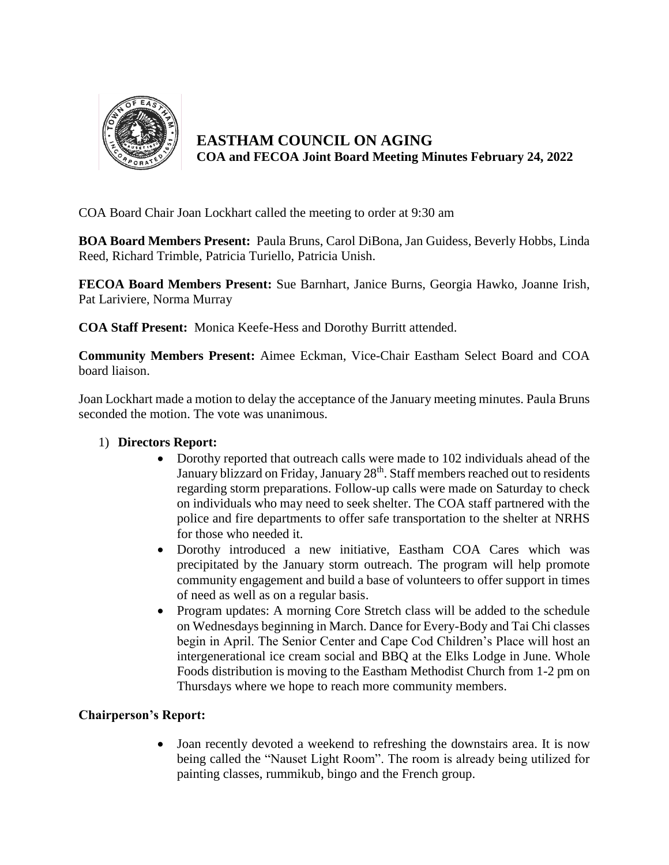

**EASTHAM COUNCIL ON AGING COA and FECOA Joint Board Meeting Minutes February 24, 2022**

COA Board Chair Joan Lockhart called the meeting to order at 9:30 am

**BOA Board Members Present:** Paula Bruns, Carol DiBona, Jan Guidess, Beverly Hobbs, Linda Reed, Richard Trimble, Patricia Turiello, Patricia Unish.

**FECOA Board Members Present:** Sue Barnhart, Janice Burns, Georgia Hawko, Joanne Irish, Pat Lariviere, Norma Murray

**COA Staff Present:** Monica Keefe-Hess and Dorothy Burritt attended.

**Community Members Present:** Aimee Eckman, Vice-Chair Eastham Select Board and COA board liaison.

Joan Lockhart made a motion to delay the acceptance of the January meeting minutes. Paula Bruns seconded the motion. The vote was unanimous.

## 1) **Directors Report:**

- Dorothy reported that outreach calls were made to 102 individuals ahead of the January blizzard on Friday, January 28<sup>th</sup>. Staff members reached out to residents regarding storm preparations. Follow-up calls were made on Saturday to check on individuals who may need to seek shelter. The COA staff partnered with the police and fire departments to offer safe transportation to the shelter at NRHS for those who needed it.
- Dorothy introduced a new initiative, Eastham COA Cares which was precipitated by the January storm outreach. The program will help promote community engagement and build a base of volunteers to offer support in times of need as well as on a regular basis.
- Program updates: A morning Core Stretch class will be added to the schedule on Wednesdays beginning in March. Dance for Every-Body and Tai Chi classes begin in April. The Senior Center and Cape Cod Children's Place will host an intergenerational ice cream social and BBQ at the Elks Lodge in June. Whole Foods distribution is moving to the Eastham Methodist Church from 1-2 pm on Thursdays where we hope to reach more community members.

## **Chairperson's Report:**

 Joan recently devoted a weekend to refreshing the downstairs area. It is now being called the "Nauset Light Room". The room is already being utilized for painting classes, rummikub, bingo and the French group.